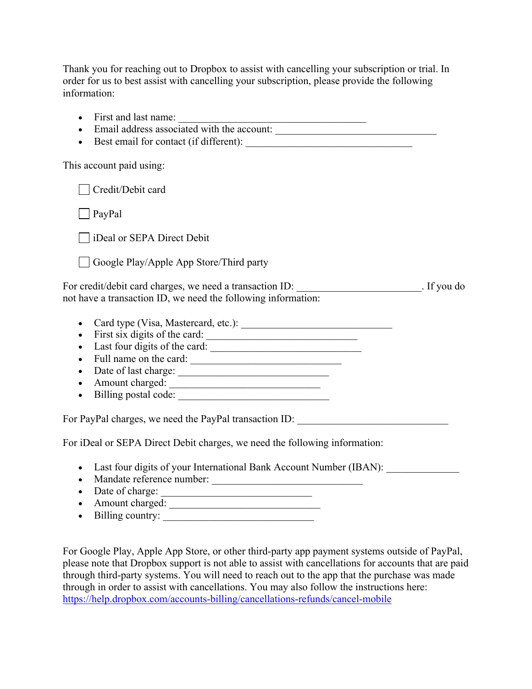Thank you for reaching out to Dropbox to assist with cancelling your subscription or trial. In order for us to best assist with cancelling your subscription, please provide the following information:

| $\bullet$                                                                                                                                                     |  |
|---------------------------------------------------------------------------------------------------------------------------------------------------------------|--|
| $\bullet$                                                                                                                                                     |  |
| This account paid using:                                                                                                                                      |  |
| Credit/Debit card                                                                                                                                             |  |
| PayPal                                                                                                                                                        |  |
| iDeal or SEPA Direct Debit                                                                                                                                    |  |
| Google Play/Apple App Store/Third party                                                                                                                       |  |
| For credit/debit card charges, we need a transaction ID: ________________________. If you do<br>not have a transaction ID, we need the following information: |  |
| $\bullet$                                                                                                                                                     |  |
| First six digits of the card:<br>$\bullet$                                                                                                                    |  |
| $\bullet$                                                                                                                                                     |  |
| Full name on the card:<br>$\bullet$                                                                                                                           |  |
| $\bullet$                                                                                                                                                     |  |
| Amount charged:<br>$\bullet$                                                                                                                                  |  |
| $\bullet$                                                                                                                                                     |  |
| For PayPal charges, we need the PayPal transaction ID: _________________________                                                                              |  |
| For iDeal or SEPA Direct Debit charges, we need the following information:                                                                                    |  |
| • Last four digits of your International Bank Account Number (IBAN):<br>$\sim$ 1. $\sim$ 0. 1                                                                 |  |

- Mandate reference number: \_\_\_\_\_\_\_\_\_\_\_\_\_\_\_\_\_\_\_\_\_\_\_\_\_\_\_\_\_
- Date of charge:
- Amount charged:
- Billing country: \_\_\_\_\_\_\_\_\_\_\_\_\_\_\_\_\_\_\_\_\_\_\_\_\_\_\_\_\_

For Google Play, Apple App Store, or other third-party app payment systems outside of PayPal, please note that Dropbox support is not able to assist with cancellations for accounts that are paid through third-party systems. You will need to reach out to the app that the purchase was made through in order to assist with cancellations. You may also follow the instructions here: https://help.dropbox.com/accounts-billing/cancellations-refunds/cancel-mobile